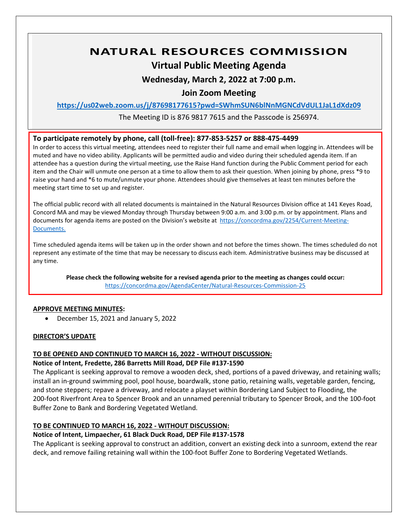# **NATURAL RESOURCES COMMISSION**

## **Virtual Public Meeting Agenda**

## **Wednesday, March 2, 2022 at 7:00 p.m.**

## **Join Zoom Meeting**

**<https://us02web.zoom.us/j/87698177615?pwd=SWhmSUN6blNnMGNCdVdUL1JaL1dXdz09>**

The Meeting ID is 876 9817 7615 and the Passcode is 256974.

## **To participate remotely by phone, call (toll-free): 877-853-5257 or 888-475-4499**

In order to access this virtual meeting, attendees need to register their full name and email when logging in. Attendees will be muted and have no video ability. Applicants will be permitted audio and video during their scheduled agenda item. If an attendee has a question during the virtual meeting, use the Raise Hand function during the Public Comment period for each item and the Chair will unmute one person at a time to allow them to ask their question. When joining by phone, press \*9 to raise your hand and \*6 to mute/unmute your phone. Attendees should give themselves at least ten minutes before the meeting start time to set up and register.

The official public record with all related documents is maintained in the Natural Resources Division office at 141 Keyes Road, Concord MA and may be viewed Monday through Thursday between 9:00 a.m. and 3:00 p.m. or by appointment. Plans and documents for agenda items are posted on the Division's website at [https://concordma.gov/2254/Current-Meeting-](https://concordma.gov/2254/Current-Meeting-Documents)[Documents.](https://concordma.gov/2254/Current-Meeting-Documents)

Time scheduled agenda items will be taken up in the order shown and not before the times shown. The times scheduled do not represent any estimate of the time that may be necessary to discuss each item. Administrative business may be discussed at any time.

**Please check the following website for a revised agenda prior to the meeting as changes could occur:**  <https://concordma.gov/AgendaCenter/Natural-Resources-Commission-25>

## **APPROVE MEETING MINUTES:**

• December 15, 2021 and January 5, 2022

## **DIRECTOR'S UPDATE**

## **TO BE OPENED AND CONTINUED TO MARCH 16, 2022 - WITHOUT DISCUSSION:**

## **Notice of Intent, Fredette, 286 Barretts Mill Road, DEP File #137-1590**

The Applicant is seeking approval to remove a wooden deck, shed, portions of a paved driveway, and retaining walls; install an in-ground swimming pool, pool house, boardwalk, stone patio, retaining walls, vegetable garden, fencing, and stone steppers; repave a driveway, and relocate a playset within Bordering Land Subject to Flooding, the 200-foot Riverfront Area to Spencer Brook and an unnamed perennial tributary to Spencer Brook, and the 100-foot Buffer Zone to Bank and Bordering Vegetated Wetland.

## **TO BE CONTINUED TO MARCH 16, 2022 - WITHOUT DISCUSSION:**

## **Notice of Intent, Limpaecher, 61 Black Duck Road, DEP File #137-1578**

The Applicant is seeking approval to construct an addition, convert an existing deck into a sunroom, extend the rear deck, and remove failing retaining wall within the 100-foot Buffer Zone to Bordering Vegetated Wetlands.